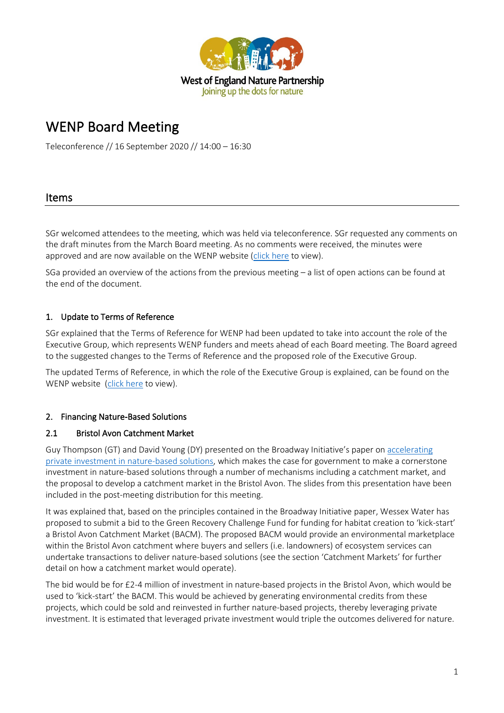

# WENP Board Meeting

Teleconference // 16 September 2020 // 14:00 – 16:30

## Items

SGr welcomed attendees to the meeting, which was held via teleconference. SGr requested any comments on the draft minutes from the March Board meeting. As no comments were received, the minutes were approved and are now available on the WENP website [\(click here](https://www.wenp.org.uk/wp-content/uploads/2020/09/2020.06-WENP-Board-Minutes.pdf) to view).

SGa provided an overview of the actions from the previous meeting – a list of open actions can be found at the end of the document.

## 1. Update to Terms of Reference

SGr explained that the Terms of Reference for WENP had been updated to take into account the role of the Executive Group, which represents WENP funders and meets ahead of each Board meeting. The Board agreed to the suggested changes to the Terms of Reference and the proposed role of the Executive Group.

The updated Terms of Reference, in which the role of the Executive Group is explained, can be found on the WENP website [\(click here](https://tandem1.co.uk/wenp/wp-content/uploads/2020/09/WENP-Terms-of-Reference_Sep20.pdf) to view).

## 2. Financing Nature-Based Solutions

## 2.1 Bristol Avon Catchment Market

Guy Thompson (GT) and David Young (DY) presented on the Broadway Initiative's paper on accelerating [private investment in nature-based solutions,](https://www.iema.net/preview-document/accelerating-private-investment-in-nature-based-solutions) which makes the case for government to make a cornerstone investment in nature-based solutions through a number of mechanisms including a catchment market, and the proposal to develop a catchment market in the Bristol Avon. The slides from this presentation have been included in the post-meeting distribution for this meeting.

It was explained that, based on the principles contained in the Broadway Initiative paper, Wessex Water has proposed to submit a bid to the Green Recovery Challenge Fund for funding for habitat creation to 'kick-start' a Bristol Avon Catchment Market (BACM). The proposed BACM would provide an environmental marketplace within the Bristol Avon catchment where buyers and sellers (i.e. landowners) of ecosystem services can undertake transactions to deliver nature-based solutions (see the section 'Catchment Markets' for further detail on how a catchment market would operate).

The bid would be for £2-4 million of investment in nature-based projects in the Bristol Avon, which would be used to 'kick-start' the BACM. This would be achieved by generating environmental credits from these projects, which could be sold and reinvested in further nature-based projects, thereby leveraging private investment. It is estimated that leveraged private investment would triple the outcomes delivered for nature.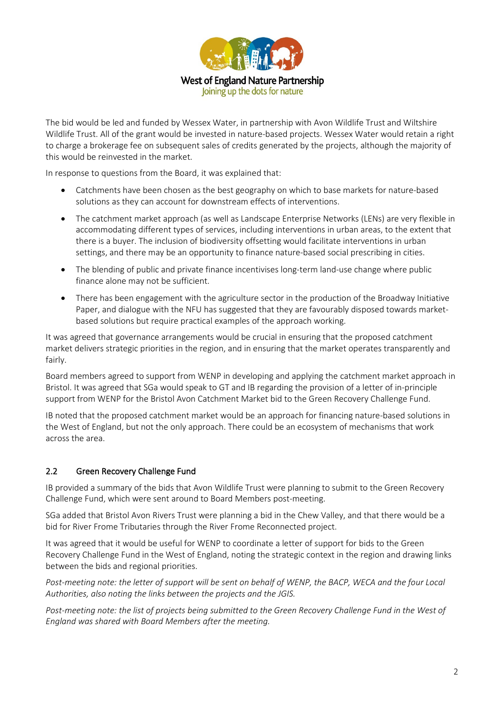

The bid would be led and funded by Wessex Water, in partnership with Avon Wildlife Trust and Wiltshire Wildlife Trust. All of the grant would be invested in nature-based projects. Wessex Water would retain a right to charge a brokerage fee on subsequent sales of credits generated by the projects, although the majority of this would be reinvested in the market.

In response to questions from the Board, it was explained that:

- Catchments have been chosen as the best geography on which to base markets for nature-based solutions as they can account for downstream effects of interventions.
- The catchment market approach (as well as Landscape Enterprise Networks (LENs) are very flexible in accommodating different types of services, including interventions in urban areas, to the extent that there is a buyer. The inclusion of biodiversity offsetting would facilitate interventions in urban settings, and there may be an opportunity to finance nature-based social prescribing in cities.
- The blending of public and private finance incentivises long-term land-use change where public finance alone may not be sufficient.
- There has been engagement with the agriculture sector in the production of the Broadway Initiative Paper, and dialogue with the NFU has suggested that they are favourably disposed towards marketbased solutions but require practical examples of the approach working.

It was agreed that governance arrangements would be crucial in ensuring that the proposed catchment market delivers strategic priorities in the region, and in ensuring that the market operates transparently and fairly.

Board members agreed to support from WENP in developing and applying the catchment market approach in Bristol. It was agreed that SGa would speak to GT and IB regarding the provision of a letter of in-principle support from WENP for the Bristol Avon Catchment Market bid to the Green Recovery Challenge Fund.

IB noted that the proposed catchment market would be an approach for financing nature-based solutions in the West of England, but not the only approach. There could be an ecosystem of mechanisms that work across the area.

## 2.2 Green Recovery Challenge Fund

IB provided a summary of the bids that Avon Wildlife Trust were planning to submit to the Green Recovery Challenge Fund, which were sent around to Board Members post-meeting.

SGa added that Bristol Avon Rivers Trust were planning a bid in the Chew Valley, and that there would be a bid for River Frome Tributaries through the River Frome Reconnected project.

It was agreed that it would be useful for WENP to coordinate a letter of support for bids to the Green Recovery Challenge Fund in the West of England, noting the strategic context in the region and drawing links between the bids and regional priorities.

*Post-meeting note: the letter of support will be sent on behalf of WENP, the BACP, WECA and the four Local Authorities, also noting the links between the projects and the JGIS.* 

*Post-meeting note: the list of projects being submitted to the Green Recovery Challenge Fund in the West of England was shared with Board Members after the meeting.*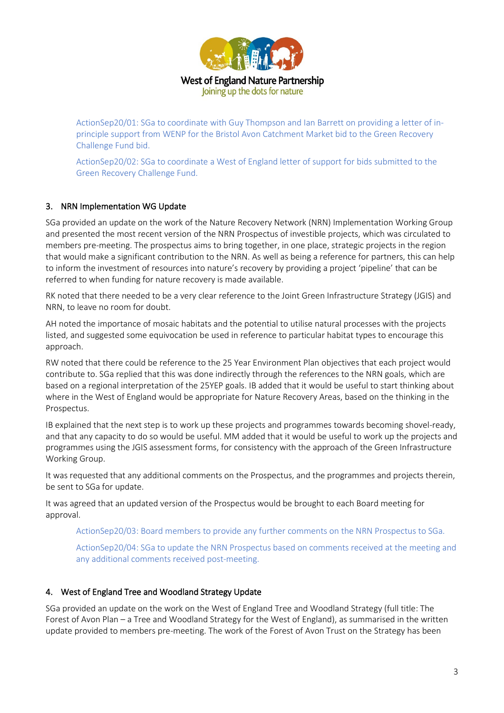

ActionSep20/01: SGa to coordinate with Guy Thompson and Ian Barrett on providing a letter of inprinciple support from WENP for the Bristol Avon Catchment Market bid to the Green Recovery Challenge Fund bid.

ActionSep20/02: SGa to coordinate a West of England letter of support for bids submitted to the Green Recovery Challenge Fund.

## 3. NRN Implementation WG Update

SGa provided an update on the work of the Nature Recovery Network (NRN) Implementation Working Group and presented the most recent version of the NRN Prospectus of investible projects, which was circulated to members pre-meeting. The prospectus aims to bring together, in one place, strategic projects in the region that would make a significant contribution to the NRN. As well as being a reference for partners, this can help to inform the investment of resources into nature's recovery by providing a project 'pipeline' that can be referred to when funding for nature recovery is made available.

RK noted that there needed to be a very clear reference to the Joint Green Infrastructure Strategy (JGIS) and NRN, to leave no room for doubt.

AH noted the importance of mosaic habitats and the potential to utilise natural processes with the projects listed, and suggested some equivocation be used in reference to particular habitat types to encourage this approach.

RW noted that there could be reference to the 25 Year Environment Plan objectives that each project would contribute to. SGa replied that this was done indirectly through the references to the NRN goals, which are based on a regional interpretation of the 25YEP goals. IB added that it would be useful to start thinking about where in the West of England would be appropriate for Nature Recovery Areas, based on the thinking in the Prospectus.

IB explained that the next step is to work up these projects and programmes towards becoming shovel-ready, and that any capacity to do so would be useful. MM added that it would be useful to work up the projects and programmes using the JGIS assessment forms, for consistency with the approach of the Green Infrastructure Working Group.

It was requested that any additional comments on the Prospectus, and the programmes and projects therein, be sent to SGa for update.

It was agreed that an updated version of the Prospectus would be brought to each Board meeting for approval.

ActionSep20/03: Board members to provide any further comments on the NRN Prospectus to SGa.

ActionSep20/04: SGa to update the NRN Prospectus based on comments received at the meeting and any additional comments received post-meeting.

## 4. West of England Tree and Woodland Strategy Update

SGa provided an update on the work on the West of England Tree and Woodland Strategy (full title: The Forest of Avon Plan – a Tree and Woodland Strategy for the West of England), as summarised in the written update provided to members pre-meeting. The work of the Forest of Avon Trust on the Strategy has been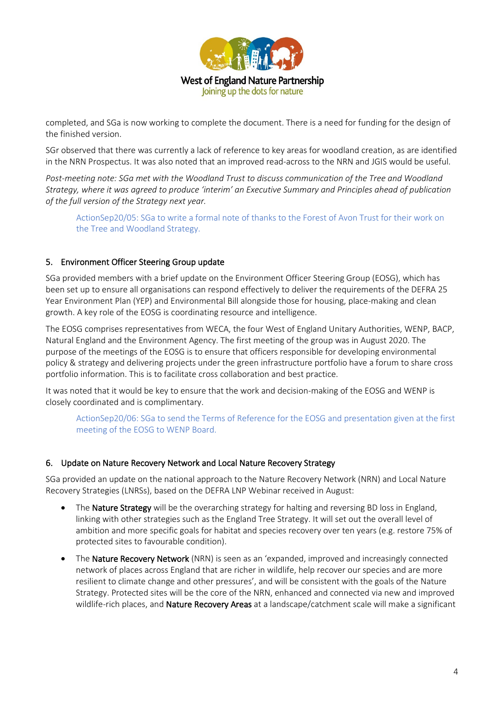

completed, and SGa is now working to complete the document. There is a need for funding for the design of the finished version.

SGr observed that there was currently a lack of reference to key areas for woodland creation, as are identified in the NRN Prospectus. It was also noted that an improved read-across to the NRN and JGIS would be useful.

*Post-meeting note: SGa met with the Woodland Trust to discuss communication of the Tree and Woodland Strategy, where it was agreed to produce 'interim' an Executive Summary and Principles ahead of publication of the full version of the Strategy next year.*

ActionSep20/05: SGa to write a formal note of thanks to the Forest of Avon Trust for their work on the Tree and Woodland Strategy.

## 5. Environment Officer Steering Group update

SGa provided members with a brief update on the Environment Officer Steering Group (EOSG), which has been set up to ensure all organisations can respond effectively to deliver the requirements of the DEFRA 25 Year Environment Plan (YEP) and Environmental Bill alongside those for housing, place-making and clean growth. A key role of the EOSG is coordinating resource and intelligence.

The EOSG comprises representatives from WECA, the four West of England Unitary Authorities, WENP, BACP, Natural England and the Environment Agency. The first meeting of the group was in August 2020. The purpose of the meetings of the EOSG is to ensure that officers responsible for developing environmental policy & strategy and delivering projects under the green infrastructure portfolio have a forum to share cross portfolio information. This is to facilitate cross collaboration and best practice.

It was noted that it would be key to ensure that the work and decision-making of the EOSG and WENP is closely coordinated and is complimentary.

ActionSep20/06: SGa to send the Terms of Reference for the EOSG and presentation given at the first meeting of the EOSG to WENP Board.

#### 6. Update on Nature Recovery Network and Local Nature Recovery Strategy

SGa provided an update on the national approach to the Nature Recovery Network (NRN) and Local Nature Recovery Strategies (LNRSs), based on the DEFRA LNP Webinar received in August:

- The Nature Strategy will be the overarching strategy for halting and reversing BD loss in England, linking with other strategies such as the England Tree Strategy. It will set out the overall level of ambition and more specific goals for habitat and species recovery over ten years (e.g. restore 75% of protected sites to favourable condition).
- The **Nature Recovery Network** (NRN) is seen as an 'expanded, improved and increasingly connected network of places across England that are richer in wildlife, help recover our species and are more resilient to climate change and other pressures', and will be consistent with the goals of the Nature Strategy. Protected sites will be the core of the NRN, enhanced and connected via new and improved wildlife-rich places, and **Nature Recovery Areas** at a landscape/catchment scale will make a significant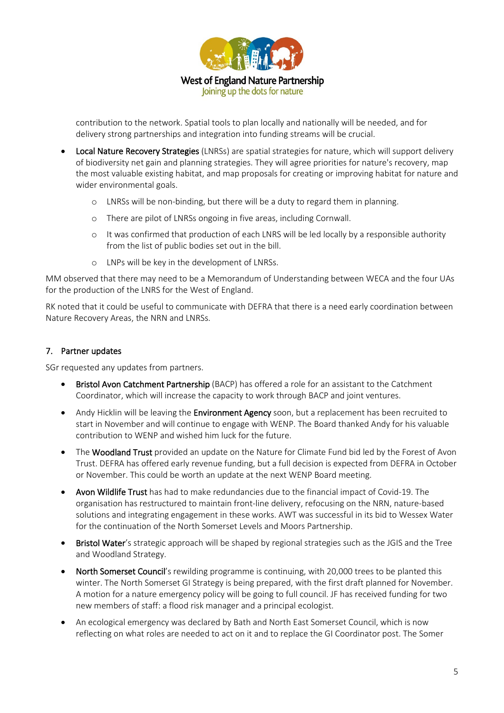

contribution to the network. Spatial tools to plan locally and nationally will be needed, and for delivery strong partnerships and integration into funding streams will be crucial.

- Local Nature Recovery Strategies (LNRSs) are spatial strategies for nature, which will support delivery of biodiversity net gain and planning strategies. They will agree priorities for nature's recovery, map the most valuable existing habitat, and map proposals for creating or improving habitat for nature and wider environmental goals.
	- o LNRSs will be non-binding, but there will be a duty to regard them in planning.
	- o There are pilot of LNRSs ongoing in five areas, including Cornwall.
	- o It was confirmed that production of each LNRS will be led locally by a responsible authority from the list of public bodies set out in the bill.
	- o LNPs will be key in the development of LNRSs.

MM observed that there may need to be a Memorandum of Understanding between WECA and the four UAs for the production of the LNRS for the West of England.

RK noted that it could be useful to communicate with DEFRA that there is a need early coordination between Nature Recovery Areas, the NRN and LNRSs.

## 7. Partner updates

SGr requested any updates from partners.

- Bristol Avon Catchment Partnership (BACP) has offered a role for an assistant to the Catchment Coordinator, which will increase the capacity to work through BACP and joint ventures.
- Andy Hicklin will be leaving the **Environment Agency** soon, but a replacement has been recruited to start in November and will continue to engage with WENP. The Board thanked Andy for his valuable contribution to WENP and wished him luck for the future.
- The Woodland Trust provided an update on the Nature for Climate Fund bid led by the Forest of Avon Trust. DEFRA has offered early revenue funding, but a full decision is expected from DEFRA in October or November. This could be worth an update at the next WENP Board meeting.
- Avon Wildlife Trust has had to make redundancies due to the financial impact of Covid-19. The organisation has restructured to maintain front-line delivery, refocusing on the NRN, nature-based solutions and integrating engagement in these works. AWT was successful in its bid to Wessex Water for the continuation of the North Somerset Levels and Moors Partnership.
- Bristol Water's strategic approach will be shaped by regional strategies such as the JGIS and the Tree and Woodland Strategy.
- North Somerset Council's rewilding programme is continuing, with 20,000 trees to be planted this winter. The North Somerset GI Strategy is being prepared, with the first draft planned for November. A motion for a nature emergency policy will be going to full council. JF has received funding for two new members of staff: a flood risk manager and a principal ecologist.
- An ecological emergency was declared by Bath and North East Somerset Council, which is now reflecting on what roles are needed to act on it and to replace the GI Coordinator post. The Somer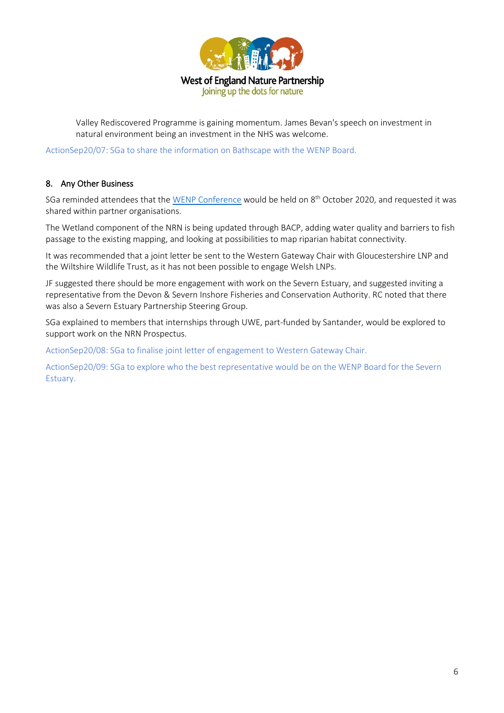

Valley Rediscovered Programme is gaining momentum. James Bevan's speech on investment in natural environment being an investment in the NHS was welcome.

ActionSep20/07: SGa to share the information on Bathscape with the WENP Board.

## 8. Any Other Business

SGa reminded attendees that th[e WENP Conference](https://www.wenp.org.uk/2020/wenp-conference-2020/) would be held on 8<sup>th</sup> October 2020, and requested it was shared within partner organisations.

The Wetland component of the NRN is being updated through BACP, adding water quality and barriers to fish passage to the existing mapping, and looking at possibilities to map riparian habitat connectivity.

It was recommended that a joint letter be sent to the Western Gateway Chair with Gloucestershire LNP and the Wiltshire Wildlife Trust, as it has not been possible to engage Welsh LNPs.

JF suggested there should be more engagement with work on the Severn Estuary, and suggested inviting a representative from the Devon & Severn Inshore Fisheries and Conservation Authority. RC noted that there was also a Severn Estuary Partnership Steering Group.

SGa explained to members that internships through UWE, part-funded by Santander, would be explored to support work on the NRN Prospectus.

ActionSep20/08: SGa to finalise joint letter of engagement to Western Gateway Chair.

ActionSep20/09: SGa to explore who the best representative would be on the WENP Board for the Severn Estuary.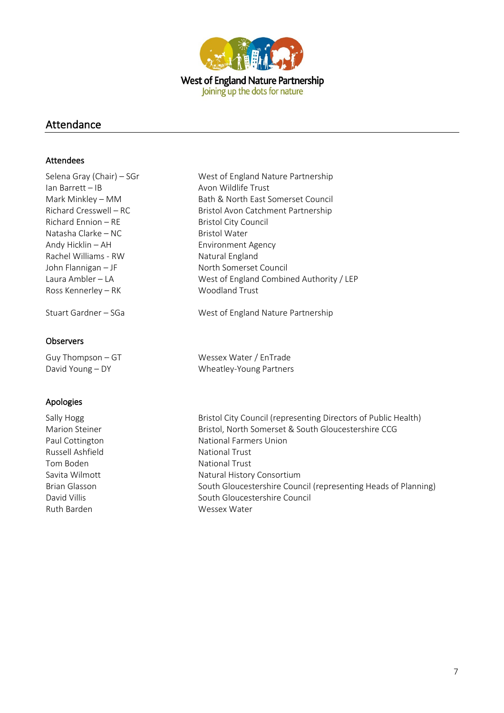

## Attendance

### Attendees

| Selena Gray (Chair) – SGr | West of England Nature Partnership       |
|---------------------------|------------------------------------------|
| lan Barrett – IB          | Avon Wildlife Trust                      |
| Mark Minkley - MM         | Bath & North East Somerset Council       |
| Richard Cresswell – RC    | Bristol Avon Catchment Partnership       |
| Richard Ennion – RE       | Bristol City Council                     |
| Natasha Clarke – NC       | <b>Bristol Water</b>                     |
| Andy Hicklin – AH         | <b>Environment Agency</b>                |
| Rachel Williams - RW      | Natural England                          |
| John Flannigan — JF       | North Somerset Council                   |
| Laura Ambler – LA         | West of England Combined Authority / LEP |
| Ross Kennerley – RK       | <b>Woodland Trust</b>                    |
| Stuart Gardner – SGa      | West of England Nature Partnership       |
|                           |                                          |
|                           |                                          |

## **Observers**

Guy Thompson – GT Wessex Water / EnTrade David Young – DY Wheatley-Young Partners

## Apologies

Russell Ashfield National Trust Tom Boden National Trust Ruth Barden Wessex Water

Sally Hogg Sally Hogg Bristol City Council (representing Directors of Public Health) Marion Steiner **Bristol, North Somerset & South Gloucestershire CCG** Paul Cottington National Farmers Union

Savita Wilmott **Natural History Consortium** Brian Glasson South Gloucestershire Council (representing Heads of Planning) David Villis **South Gloucestershire Council** South Gloucestershire Council